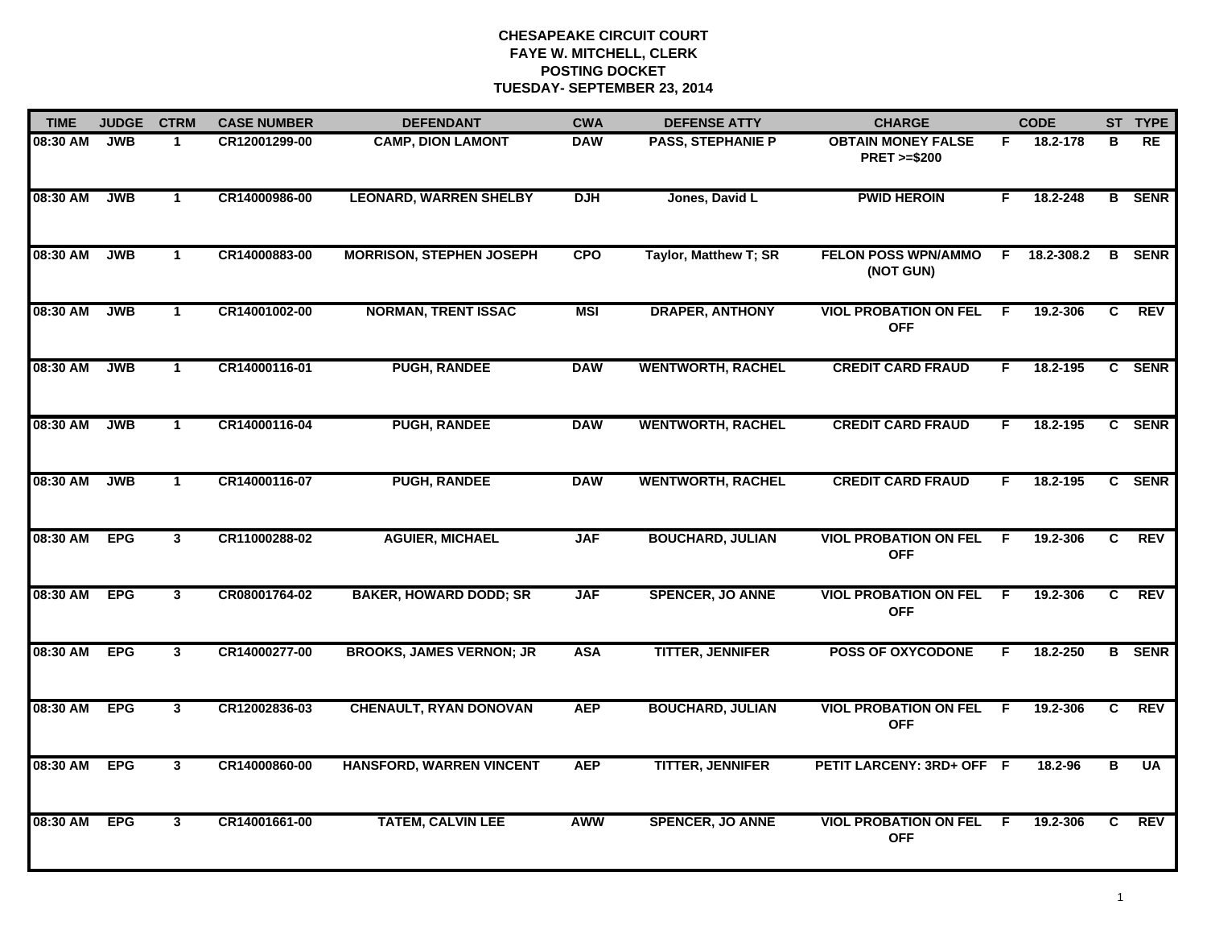| <b>TIME</b> | <b>JUDGE</b> | <b>CTRM</b>    | <b>CASE NUMBER</b> | <b>DEFENDANT</b>                | <b>CWA</b> | <b>DEFENSE ATTY</b>      | <b>CHARGE</b>                                       | <b>CODE</b> |            |    | ST TYPE       |
|-------------|--------------|----------------|--------------------|---------------------------------|------------|--------------------------|-----------------------------------------------------|-------------|------------|----|---------------|
| 08:30 AM    | <b>JWB</b>   | $\mathbf 1$    | CR12001299-00      | <b>CAMP, DION LAMONT</b>        | <b>DAW</b> | <b>PASS, STEPHANIE P</b> | <b>OBTAIN MONEY FALSE</b><br><b>PRET &gt;=\$200</b> | F.          | 18.2-178   | в  | RE            |
| 08:30 AM    | <b>JWB</b>   | $\mathbf{1}$   | CR14000986-00      | <b>LEONARD, WARREN SHELBY</b>   | <b>DJH</b> | Jones, David L           | <b>PWID HEROIN</b>                                  | F.          | 18.2-248   |    | <b>B</b> SENR |
| 08:30 AM    | <b>JWB</b>   | $\mathbf{1}$   | CR14000883-00      | <b>MORRISON, STEPHEN JOSEPH</b> | <b>CPO</b> | Taylor, Matthew T; SR    | <b>FELON POSS WPN/AMMO</b><br>(NOT GUN)             | F.          | 18.2-308.2 |    | <b>B</b> SENR |
| 08:30 AM    | <b>JWB</b>   | $\mathbf 1$    | CR14001002-00      | <b>NORMAN, TRENT ISSAC</b>      | <b>MSI</b> | <b>DRAPER, ANTHONY</b>   | <b>VIOL PROBATION ON FEL</b><br><b>OFF</b>          | -F          | 19.2-306   | C  | <b>REV</b>    |
| 08:30 AM    | <b>JWB</b>   | $\mathbf{1}$   | CR14000116-01      | <b>PUGH, RANDEE</b>             | <b>DAW</b> | <b>WENTWORTH, RACHEL</b> | <b>CREDIT CARD FRAUD</b>                            | F.          | 18.2-195   |    | C SENR        |
| 08:30 AM    | <b>JWB</b>   | $\mathbf{1}$   | CR14000116-04      | <b>PUGH, RANDEE</b>             | <b>DAW</b> | <b>WENTWORTH, RACHEL</b> | <b>CREDIT CARD FRAUD</b>                            | F.          | 18.2-195   |    | C SENR        |
| 08:30 AM    | <b>JWB</b>   | $\overline{1}$ | CR14000116-07      | <b>PUGH, RANDEE</b>             | <b>DAW</b> | <b>WENTWORTH, RACHEL</b> | <b>CREDIT CARD FRAUD</b>                            | F.          | 18.2-195   |    | C SENR        |
| 08:30 AM    | <b>EPG</b>   | $\mathbf{3}$   | CR11000288-02      | <b>AGUIER, MICHAEL</b>          | <b>JAF</b> | <b>BOUCHARD, JULIAN</b>  | <b>VIOL PROBATION ON FEL</b><br><b>OFF</b>          | F.          | 19.2-306   | C. | <b>REV</b>    |
| 08:30 AM    | <b>EPG</b>   | $\mathbf{3}$   | CR08001764-02      | <b>BAKER, HOWARD DODD; SR</b>   | <b>JAF</b> | <b>SPENCER, JO ANNE</b>  | <b>VIOL PROBATION ON FEL</b><br><b>OFF</b>          | -F          | 19.2-306   | C  | <b>REV</b>    |
| 08:30 AM    | <b>EPG</b>   | $\overline{3}$ | CR14000277-00      | <b>BROOKS, JAMES VERNON; JR</b> | <b>ASA</b> | <b>TITTER, JENNIFER</b>  | <b>POSS OF OXYCODONE</b>                            | F           | 18.2-250   |    | <b>B</b> SENR |
| 08:30 AM    | <b>EPG</b>   | $\mathbf{3}$   | CR12002836-03      | <b>CHENAULT, RYAN DONOVAN</b>   | <b>AEP</b> | <b>BOUCHARD, JULIAN</b>  | <b>VIOL PROBATION ON FEL</b><br><b>OFF</b>          | E           | 19.2-306   | C. | REV           |
| 08:30 AM    | <b>EPG</b>   | $\mathbf{3}$   | CR14000860-00      | HANSFORD, WARREN VINCENT        | <b>AEP</b> | <b>TITTER, JENNIFER</b>  | PETIT LARCENY: 3RD+ OFF F                           |             | 18.2-96    | в  | <b>UA</b>     |
| 08:30 AM    | <b>EPG</b>   | $\mathbf{3}$   | CR14001661-00      | <b>TATEM, CALVIN LEE</b>        | <b>AWW</b> | <b>SPENCER, JO ANNE</b>  | <b>VIOL PROBATION ON FEL</b><br><b>OFF</b>          | -F          | 19.2-306   | C. | <b>REV</b>    |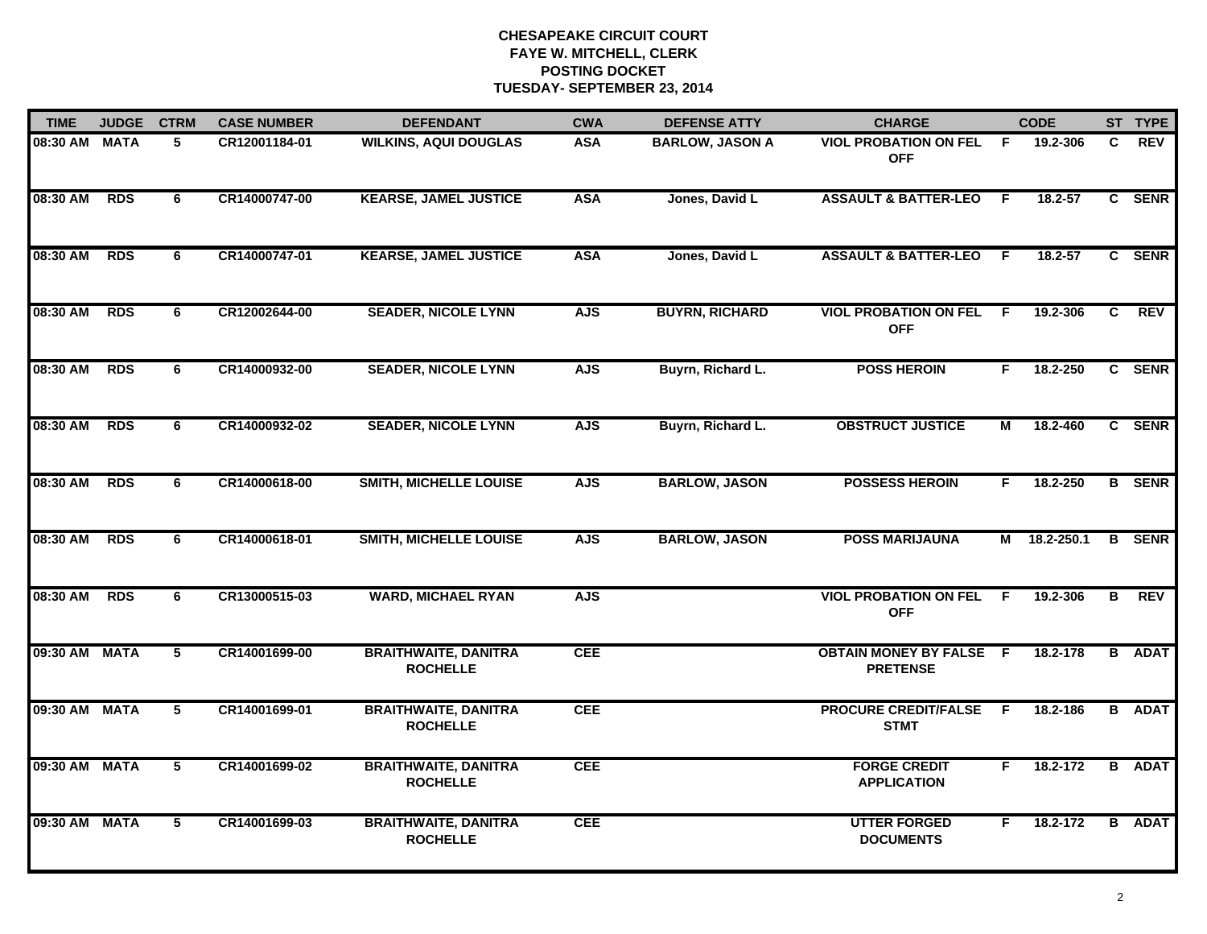| <b>TIME</b>   | <b>JUDGE</b> | <b>CTRM</b>     | <b>CASE NUMBER</b> | <b>DEFENDANT</b>                               | <b>CWA</b> | <b>DEFENSE ATTY</b>    | <b>CHARGE</b>                                     |     | <b>CODE</b> |              | ST TYPE       |
|---------------|--------------|-----------------|--------------------|------------------------------------------------|------------|------------------------|---------------------------------------------------|-----|-------------|--------------|---------------|
| 08:30 AM MATA |              | 5               | CR12001184-01      | <b>WILKINS, AQUI DOUGLAS</b>                   | <b>ASA</b> | <b>BARLOW, JASON A</b> | <b>VIOL PROBATION ON FEL</b><br><b>OFF</b>        | - F | 19.2-306    | C            | <b>REV</b>    |
| 08:30 AM      | <b>RDS</b>   | 6               | CR14000747-00      | <b>KEARSE, JAMEL JUSTICE</b>                   | <b>ASA</b> | Jones, David L         | <b>ASSAULT &amp; BATTER-LEO</b>                   | -F  | 18.2-57     |              | C SENR        |
| 08:30 AM      | <b>RDS</b>   | 6               | CR14000747-01      | <b>KEARSE, JAMEL JUSTICE</b>                   | <b>ASA</b> | Jones, David L         | <b>ASSAULT &amp; BATTER-LEO</b>                   | -F  | 18.2-57     |              | C SENR        |
| 08:30 AM      | <b>RDS</b>   | 6               | CR12002644-00      | <b>SEADER, NICOLE LYNN</b>                     | <b>AJS</b> | <b>BUYRN, RICHARD</b>  | <b>VIOL PROBATION ON FEL</b><br><b>OFF</b>        | F.  | 19.2-306    | $\mathbf{c}$ | <b>REV</b>    |
| 08:30 AM      | <b>RDS</b>   | 6               | CR14000932-00      | <b>SEADER, NICOLE LYNN</b>                     | <b>AJS</b> | Buyrn, Richard L.      | <b>POSS HEROIN</b>                                | F.  | 18.2-250    |              | C SENR        |
| 08:30 AM      | <b>RDS</b>   | 6               | CR14000932-02      | <b>SEADER, NICOLE LYNN</b>                     | <b>AJS</b> | Buyrn, Richard L.      | <b>OBSTRUCT JUSTICE</b>                           | М   | 18.2-460    |              | C SENR        |
| 08:30 AM      | <b>RDS</b>   | 6               | CR14000618-00      | <b>SMITH, MICHELLE LOUISE</b>                  | <b>AJS</b> | <b>BARLOW, JASON</b>   | <b>POSSESS HEROIN</b>                             | F.  | 18.2-250    |              | <b>B</b> SENR |
| 08:30 AM      | <b>RDS</b>   | 6               | CR14000618-01      | <b>SMITH, MICHELLE LOUISE</b>                  | <b>AJS</b> | <b>BARLOW, JASON</b>   | <b>POSS MARIJAUNA</b>                             | M   | 18.2-250.1  |              | <b>B</b> SENR |
| 08:30 AM      | <b>RDS</b>   | 6               | CR13000515-03      | <b>WARD, MICHAEL RYAN</b>                      | <b>AJS</b> |                        | <b>VIOL PROBATION ON FEL</b><br><b>OFF</b>        | E   | 19.2-306    | B            | <b>REV</b>    |
| 09:30 AM MATA |              | 5               | CR14001699-00      | <b>BRAITHWAITE, DANITRA</b><br><b>ROCHELLE</b> | <b>CEE</b> |                        | <b>OBTAIN MONEY BY FALSE F</b><br><b>PRETENSE</b> |     | 18.2-178    |              | <b>B</b> ADAT |
| 09:30 AM MATA |              | $5\phantom{.0}$ | CR14001699-01      | <b>BRAITHWAITE, DANITRA</b><br><b>ROCHELLE</b> | <b>CEE</b> |                        | <b>PROCURE CREDIT/FALSE</b><br><b>STMT</b>        | - F | 18.2-186    |              | <b>B</b> ADAT |
| 09:30 AM MATA |              | $\overline{5}$  | CR14001699-02      | <b>BRAITHWAITE, DANITRA</b><br><b>ROCHELLE</b> | <b>CEE</b> |                        | <b>FORGE CREDIT</b><br><b>APPLICATION</b>         | F.  | 18.2-172    |              | <b>B</b> ADAT |
| 09:30 AM      | <b>MATA</b>  | 5               | CR14001699-03      | <b>BRAITHWAITE, DANITRA</b><br><b>ROCHELLE</b> | <b>CEE</b> |                        | <b>UTTER FORGED</b><br><b>DOCUMENTS</b>           | F.  | 18.2-172    |              | <b>B</b> ADAT |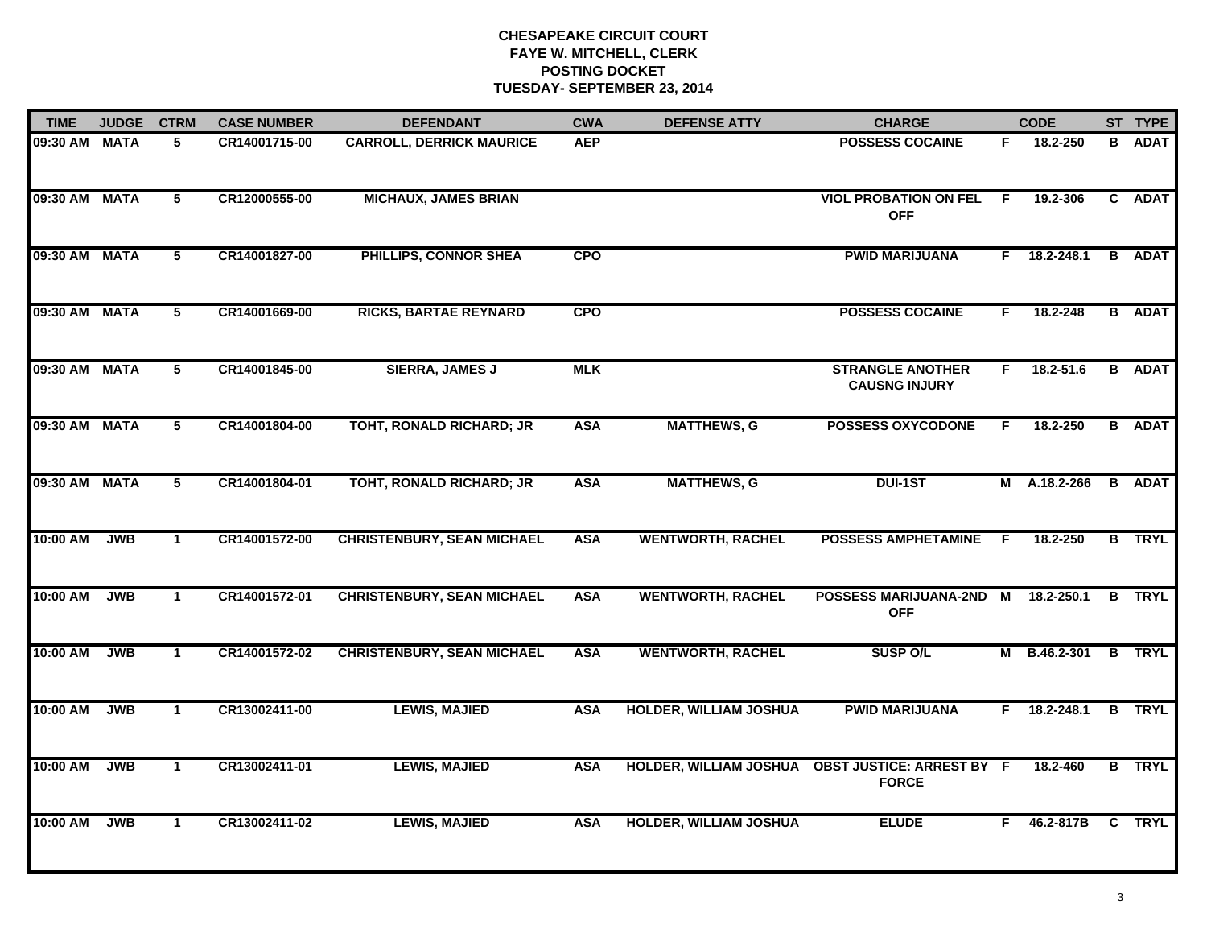| <b>TIME</b>   | <b>JUDGE</b> | <b>CTRM</b>    | <b>CASE NUMBER</b> | <b>DEFENDANT</b>                  | <b>CWA</b> | <b>DEFENSE ATTY</b>           | <b>CHARGE</b>                                                    | <b>CODE</b> |               | ST TYPE       |
|---------------|--------------|----------------|--------------------|-----------------------------------|------------|-------------------------------|------------------------------------------------------------------|-------------|---------------|---------------|
| 09:30 AM MATA |              | 5              | CR14001715-00      | <b>CARROLL, DERRICK MAURICE</b>   | <b>AEP</b> |                               | <b>POSSESS COCAINE</b>                                           | F.          | 18.2-250      | <b>B</b> ADAT |
| 09:30 AM      | <b>MATA</b>  | $\overline{5}$ | CR12000555-00      | <b>MICHAUX, JAMES BRIAN</b>       |            |                               | <b>VIOL PROBATION ON FEL</b><br><b>OFF</b>                       | E           | 19.2-306      | C ADAT        |
| 09:30 AM      | <b>MATA</b>  | $\overline{5}$ | CR14001827-00      | PHILLIPS, CONNOR SHEA             | <b>CPO</b> |                               | <b>PWID MARIJUANA</b>                                            | F.          | 18.2-248.1    | <b>B</b> ADAT |
| 09:30 AM MATA |              | 5              | CR14001669-00      | <b>RICKS, BARTAE REYNARD</b>      | <b>CPO</b> |                               | <b>POSSESS COCAINE</b>                                           | F.          | 18.2-248      | <b>B</b> ADAT |
| 09:30 AM      | <b>MATA</b>  | 5              | CR14001845-00      | <b>SIERRA, JAMES J</b>            | <b>MLK</b> |                               | <b>STRANGLE ANOTHER</b><br><b>CAUSNG INJURY</b>                  | F.          | $18.2 - 51.6$ | <b>B</b> ADAT |
| 09:30 AM MATA |              | 5              | CR14001804-00      | TOHT, RONALD RICHARD; JR          | <b>ASA</b> | <b>MATTHEWS, G</b>            | <b>POSSESS OXYCODONE</b>                                         | F.          | 18.2-250      | <b>B</b> ADAT |
| 09:30 AM      | <b>MATA</b>  | $\overline{5}$ | CR14001804-01      | TOHT, RONALD RICHARD; JR          | <b>ASA</b> | <b>MATTHEWS, G</b>            | <b>DUI-1ST</b>                                                   | М           | A.18.2-266    | <b>B</b> ADAT |
| 10:00 AM      | <b>JWB</b>   | $\mathbf{1}$   | CR14001572-00      | <b>CHRISTENBURY, SEAN MICHAEL</b> | <b>ASA</b> | <b>WENTWORTH, RACHEL</b>      | <b>POSSESS AMPHETAMINE</b>                                       | -F          | 18.2-250      | <b>B</b> TRYL |
| 10:00 AM      | <b>JWB</b>   | $\mathbf 1$    | CR14001572-01      | <b>CHRISTENBURY, SEAN MICHAEL</b> | <b>ASA</b> | <b>WENTWORTH, RACHEL</b>      | POSSESS MARIJUANA-2ND M<br><b>OFF</b>                            |             | 18.2-250.1    | <b>B</b> TRYL |
| 10:00 AM      | <b>JWB</b>   | $\mathbf{1}$   | CR14001572-02      | <b>CHRISTENBURY, SEAN MICHAEL</b> | <b>ASA</b> | <b>WENTWORTH, RACHEL</b>      | <b>SUSP O/L</b>                                                  | М           | B.46.2-301    | <b>B</b> TRYL |
| 10:00 AM      | <b>JWB</b>   | $\mathbf{1}$   | CR13002411-00      | <b>LEWIS, MAJIED</b>              | <b>ASA</b> | <b>HOLDER, WILLIAM JOSHUA</b> | <b>PWID MARIJUANA</b>                                            |             | F 18.2-248.1  | <b>B</b> TRYL |
| 10:00 AM      | <b>JWB</b>   | $\mathbf{1}$   | CR13002411-01      | <b>LEWIS, MAJIED</b>              | <b>ASA</b> |                               | HOLDER, WILLIAM JOSHUA OBST JUSTICE: ARREST BY F<br><b>FORCE</b> |             | 18.2-460      | <b>B</b> TRYL |
| 10:00 AM      | <b>JWB</b>   | $\mathbf{1}$   | CR13002411-02      | <b>LEWIS, MAJIED</b>              | <b>ASA</b> | <b>HOLDER, WILLIAM JOSHUA</b> | <b>ELUDE</b>                                                     | F.          | 46.2-817B     | C TRYL        |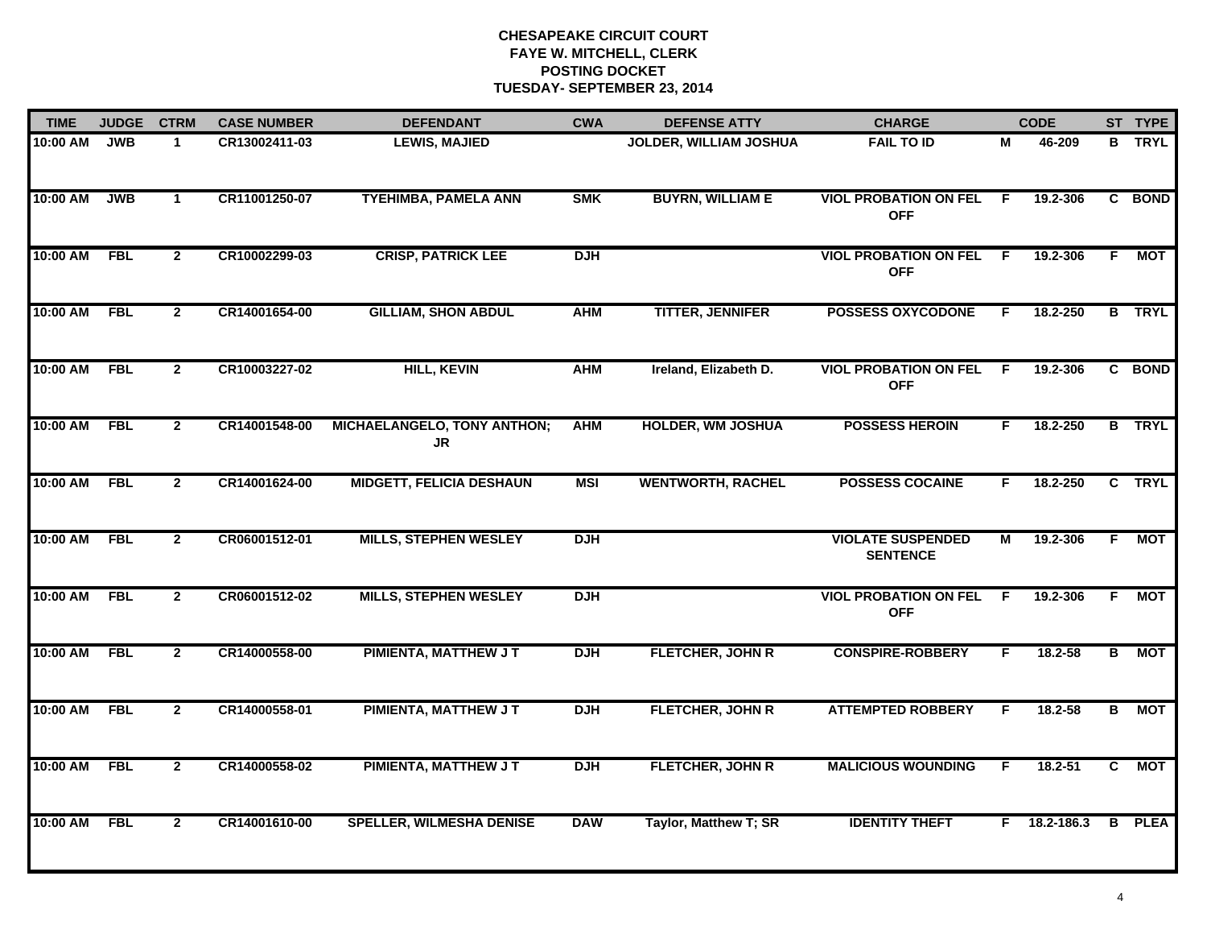| <b>TIME</b> | <b>JUDGE</b> | <b>CTRM</b>    | <b>CASE NUMBER</b> | <b>DEFENDANT</b>                                | <b>CWA</b> | <b>DEFENSE ATTY</b>           | <b>CHARGE</b>                               | <b>CODE</b> |                |                | ST TYPE       |
|-------------|--------------|----------------|--------------------|-------------------------------------------------|------------|-------------------------------|---------------------------------------------|-------------|----------------|----------------|---------------|
| 10:00 AM    | <b>JWB</b>   | $\mathbf{1}$   | CR13002411-03      | <b>LEWIS, MAJIED</b>                            |            | <b>JOLDER, WILLIAM JOSHUA</b> | <b>FAIL TO ID</b>                           | M           | 46-209         |                | <b>B</b> TRYL |
| 10:00 AM    | <b>JWB</b>   | $\mathbf{1}$   | CR11001250-07      | <b>TYEHIMBA, PAMELA ANN</b>                     | <b>SMK</b> | <b>BUYRN, WILLIAM E</b>       | <b>VIOL PROBATION ON FEL</b><br><b>OFF</b>  | -F          | 19.2-306       |                | C BOND        |
| 10:00 AM    | <b>FBL</b>   | $\mathbf{2}$   | CR10002299-03      | <b>CRISP, PATRICK LEE</b>                       | <b>DJH</b> |                               | <b>VIOL PROBATION ON FEL</b><br><b>OFF</b>  | F.          | 19.2-306       | F.             | МОТ           |
| 10:00 AM    | <b>FBL</b>   | $\mathbf{2}$   | CR14001654-00      | <b>GILLIAM, SHON ABDUL</b>                      | <b>AHM</b> | <b>TITTER, JENNIFER</b>       | <b>POSSESS OXYCODONE</b>                    | F.          | 18.2-250       | B              | <b>TRYL</b>   |
| 10:00 AM    | <b>FBL</b>   | $\mathbf{2}$   | CR10003227-02      | <b>HILL, KEVIN</b>                              | <b>AHM</b> | Ireland, Elizabeth D.         | <b>VIOL PROBATION ON FEL</b><br><b>OFF</b>  | F.          | 19.2-306       |                | C BOND        |
| 10:00 AM    | <b>FBL</b>   | $\mathbf{2}$   | CR14001548-00      | <b>MICHAELANGELO, TONY ANTHON;</b><br><b>JR</b> | <b>AHM</b> | <b>HOLDER, WM JOSHUA</b>      | <b>POSSESS HEROIN</b>                       | F.          | 18.2-250       |                | <b>B</b> TRYL |
| 10:00 AM    | <b>FBL</b>   | $\overline{2}$ | CR14001624-00      | <b>MIDGETT, FELICIA DESHAUN</b>                 | <b>MSI</b> | <b>WENTWORTH, RACHEL</b>      | <b>POSSESS COCAINE</b>                      | F.          | 18.2-250       |                | C TRYL        |
| 10:00 AM    | <b>FBL</b>   | $\overline{2}$ | CR06001512-01      | <b>MILLS, STEPHEN WESLEY</b>                    | <b>DJH</b> |                               | <b>VIOLATE SUSPENDED</b><br><b>SENTENCE</b> | М           | 19.2-306       | F.             | <b>MOT</b>    |
| 10:00 AM    | <b>FBL</b>   | $\mathbf{2}$   | CR06001512-02      | <b>MILLS, STEPHEN WESLEY</b>                    | <b>DJH</b> |                               | <b>VIOL PROBATION ON FEL</b><br><b>OFF</b>  | -F          | 19.2-306       | F.             | MOT           |
| 10:00 AM    | <b>FBL</b>   | $\overline{2}$ | CR14000558-00      | PIMIENTA, MATTHEW JT                            | <b>DJH</b> | FLETCHER, JOHN R              | <b>CONSPIRE-ROBBERY</b>                     | F.          | $18.2 - 58$    | в              | MOT           |
| 10:00 AM    | <b>FBL</b>   | $\overline{2}$ | CR14000558-01      | PIMIENTA, MATTHEW JT                            | <b>DJH</b> | <b>FLETCHER, JOHN R</b>       | <b>ATTEMPTED ROBBERY</b>                    | F.          | $18.2 - 58$    | B              | <b>MOT</b>    |
| 10:00 AM    | <b>FBL</b>   | $\overline{2}$ | CR14000558-02      | PIMIENTA, MATTHEW JT                            | <b>DJH</b> | <b>FLETCHER, JOHN R</b>       | <b>MALICIOUS WOUNDING</b>                   | F.          | $18.2 - 51$    | $\overline{c}$ | <b>MOT</b>    |
| 10:00 AM    | <b>FBL</b>   | $\mathbf{2}$   | CR14001610-00      | <b>SPELLER, WILMESHA DENISE</b>                 | <b>DAW</b> | Taylor, Matthew T; SR         | <b>IDENTITY THEFT</b>                       |             | $F$ 18.2-186.3 |                | <b>B</b> PLEA |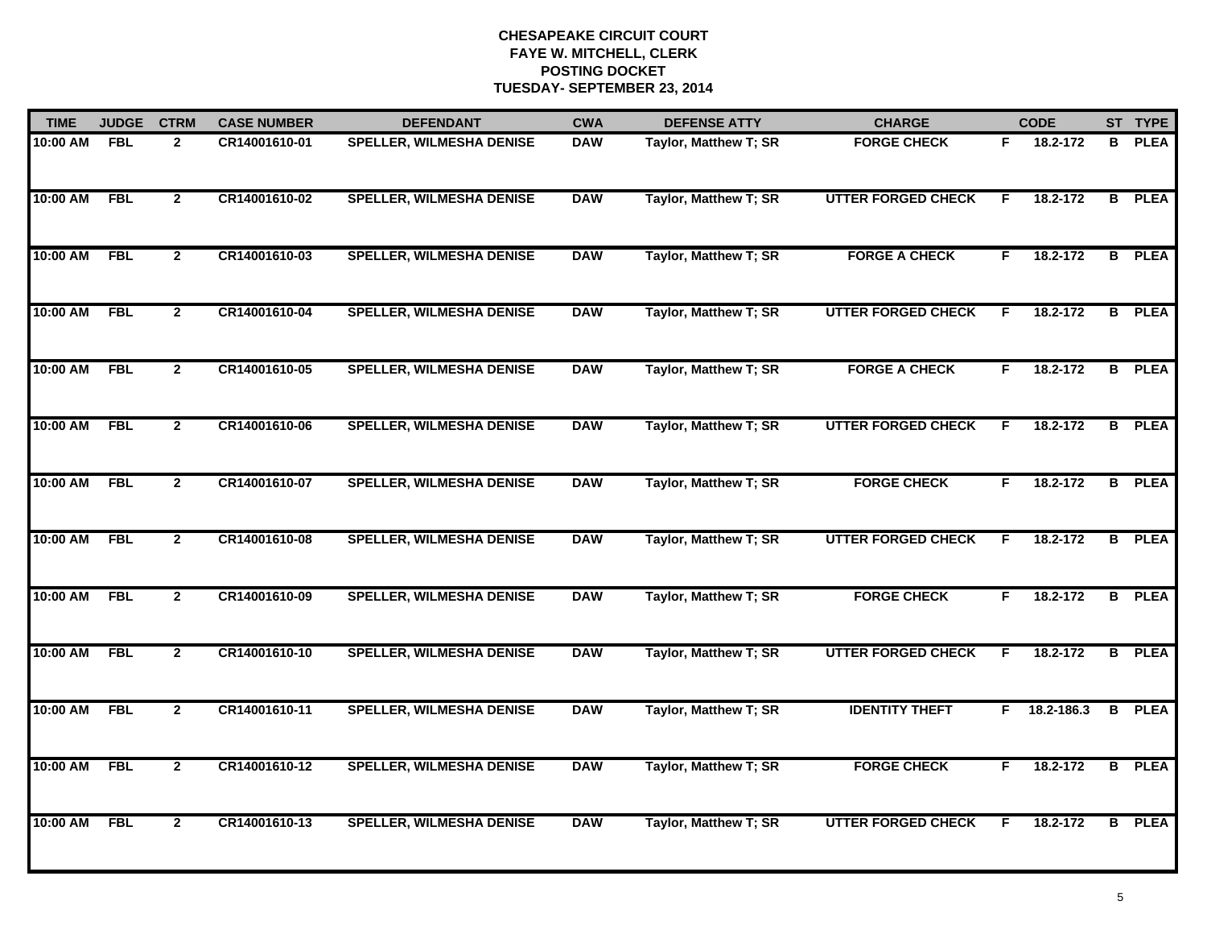| <b>TIME</b> | <b>JUDGE</b> | <b>CTRM</b>    | <b>CASE NUMBER</b> | <b>DEFENDANT</b>                | <b>CWA</b> | <b>DEFENSE ATTY</b>   | <b>CHARGE</b>             |    | <b>CODE</b>    |                | ST TYPE       |
|-------------|--------------|----------------|--------------------|---------------------------------|------------|-----------------------|---------------------------|----|----------------|----------------|---------------|
| 10:00 AM    | <b>FBL</b>   | $\mathbf{2}$   | CR14001610-01      | SPELLER, WILMESHA DENISE        | <b>DAW</b> | Taylor, Matthew T; SR | <b>FORGE CHECK</b>        | F. | 18.2-172       | B              | <b>PLEA</b>   |
| 10:00 AM    | <b>FBL</b>   | $\overline{2}$ | CR14001610-02      | <b>SPELLER, WILMESHA DENISE</b> | <b>DAW</b> | Taylor, Matthew T; SR | <b>UTTER FORGED CHECK</b> | F  | 18.2-172       | B              | <b>PLEA</b>   |
| 10:00 AM    | <b>FBL</b>   | $\mathbf{2}$   | CR14001610-03      | <b>SPELLER, WILMESHA DENISE</b> | <b>DAW</b> | Taylor, Matthew T; SR | <b>FORGE A CHECK</b>      | F. | 18.2-172       |                | <b>B</b> PLEA |
| 10:00 AM    | <b>FBL</b>   | $\overline{2}$ | CR14001610-04      | <b>SPELLER, WILMESHA DENISE</b> | <b>DAW</b> | Taylor, Matthew T; SR | <b>UTTER FORGED CHECK</b> | F  | 18.2-172       | B              | <b>PLEA</b>   |
| 10:00 AM    | <b>FBL</b>   | $\mathbf{2}$   | CR14001610-05      | <b>SPELLER, WILMESHA DENISE</b> | <b>DAW</b> | Taylor, Matthew T; SR | <b>FORGE A CHECK</b>      | F. | 18.2-172       |                | <b>B</b> PLEA |
| 10:00 AM    | FBL          | $\overline{2}$ | CR14001610-06      | <b>SPELLER, WILMESHA DENISE</b> | <b>DAW</b> | Taylor, Matthew T; SR | <b>UTTER FORGED CHECK</b> | F  | 18.2-172       |                | <b>B</b> PLEA |
| 10:00 AM    | <b>FBL</b>   | $\overline{2}$ | CR14001610-07      | <b>SPELLER, WILMESHA DENISE</b> | <b>DAW</b> | Taylor, Matthew T; SR | <b>FORGE CHECK</b>        | F  | 18.2-172       |                | <b>B</b> PLEA |
| 10:00 AM    | <b>FBL</b>   | $\mathbf{2}$   | CR14001610-08      | <b>SPELLER, WILMESHA DENISE</b> | <b>DAW</b> | Taylor, Matthew T; SR | <b>UTTER FORGED CHECK</b> | F  | 18.2-172       |                | <b>B</b> PLEA |
| 10:00 AM    | <b>FBL</b>   | $\overline{2}$ | CR14001610-09      | <b>SPELLER, WILMESHA DENISE</b> | <b>DAW</b> | Taylor, Matthew T; SR | <b>FORGE CHECK</b>        | F. | 18.2-172       | B              | <b>PLEA</b>   |
| 10:00 AM    | <b>FBL</b>   | $\overline{2}$ | CR14001610-10      | <b>SPELLER, WILMESHA DENISE</b> | <b>DAW</b> | Taylor, Matthew T; SR | <b>UTTER FORGED CHECK</b> | F  | 18.2-172       |                | <b>B</b> PLEA |
| 10:00 AM    | <b>FBL</b>   | $\mathbf{2}$   | CR14001610-11      | <b>SPELLER, WILMESHA DENISE</b> | <b>DAW</b> | Taylor, Matthew T; SR | <b>IDENTITY THEFT</b>     |    | $F$ 18.2-186.3 |                | <b>B</b> PLEA |
| 10:00 AM    | FBL          | $\overline{2}$ | CR14001610-12      | <b>SPELLER, WILMESHA DENISE</b> | <b>DAW</b> | Taylor, Matthew T; SR | <b>FORGE CHECK</b>        | F. | 18.2-172       | $\overline{B}$ | <b>PLEA</b>   |
| 10:00 AM    | <b>FBL</b>   | $\overline{2}$ | CR14001610-13      | <b>SPELLER, WILMESHA DENISE</b> | <b>DAW</b> | Taylor, Matthew T; SR | <b>UTTER FORGED CHECK</b> | F  | 18.2-172       |                | <b>B</b> PLEA |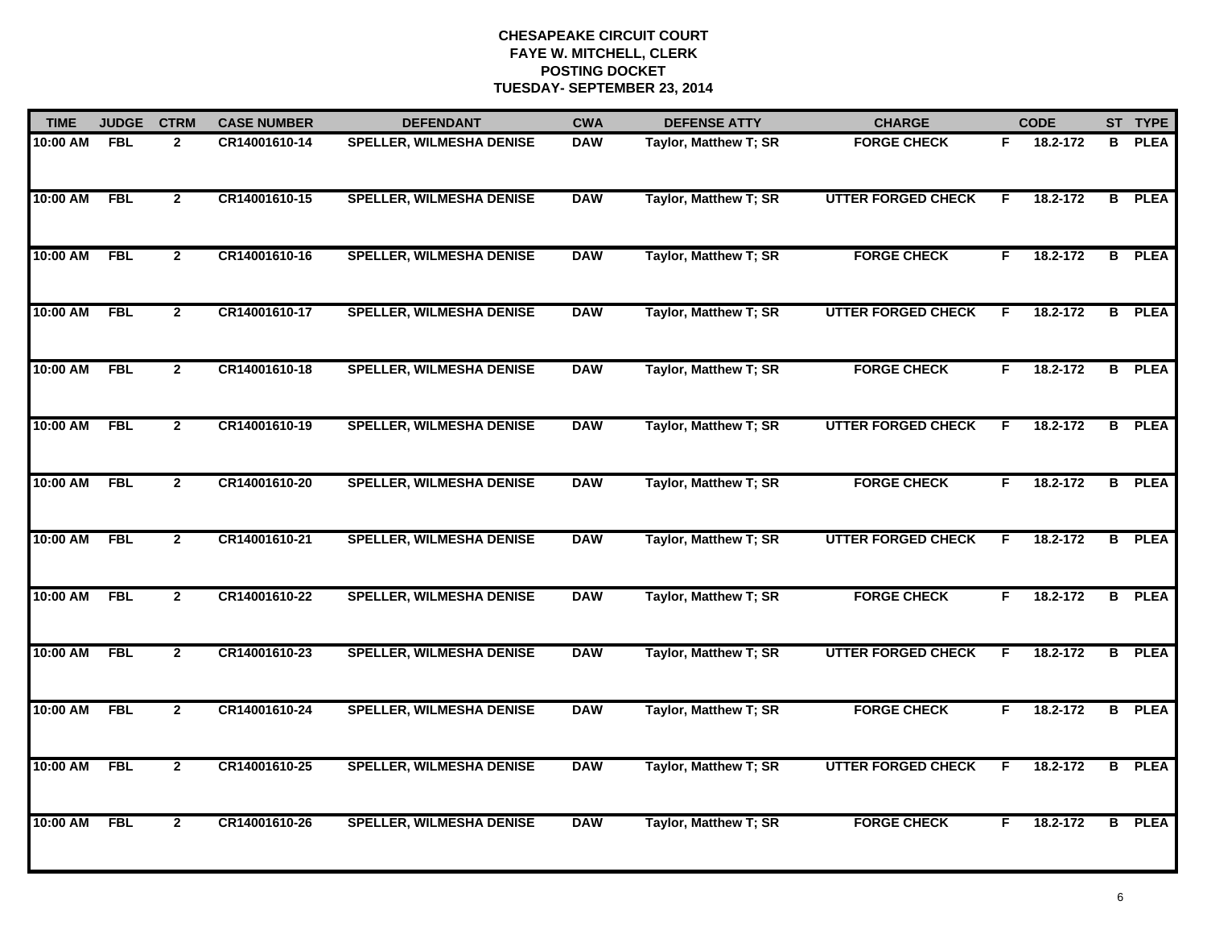| <b>TIME</b> | <b>JUDGE</b> | <b>CTRM</b>    | <b>CASE NUMBER</b> | <b>DEFENDANT</b>                | <b>CWA</b> | <b>DEFENSE ATTY</b>   | <b>CHARGE</b>             | <b>CODE</b> |          |   | ST TYPE       |
|-------------|--------------|----------------|--------------------|---------------------------------|------------|-----------------------|---------------------------|-------------|----------|---|---------------|
| 10:00 AM    | <b>FBL</b>   | $\overline{2}$ | CR14001610-14      | SPELLER, WILMESHA DENISE        | <b>DAW</b> | Taylor, Matthew T; SR | <b>FORGE CHECK</b>        | F.          | 18.2-172 | В | <b>PLEA</b>   |
| 10:00 AM    | <b>FBL</b>   | $\overline{2}$ | CR14001610-15      | <b>SPELLER, WILMESHA DENISE</b> | <b>DAW</b> | Taylor, Matthew T; SR | <b>UTTER FORGED CHECK</b> | E           | 18.2-172 | B | <b>PLEA</b>   |
| 10:00 AM    | <b>FBL</b>   | $\overline{2}$ | CR14001610-16      | <b>SPELLER, WILMESHA DENISE</b> | <b>DAW</b> | Taylor, Matthew T; SR | <b>FORGE CHECK</b>        | F.          | 18.2-172 |   | <b>B</b> PLEA |
| 10:00 AM    | <b>FBL</b>   | $\mathbf{2}$   | CR14001610-17      | <b>SPELLER, WILMESHA DENISE</b> | <b>DAW</b> | Taylor, Matthew T; SR | <b>UTTER FORGED CHECK</b> | F           | 18.2-172 | в | <b>PLEA</b>   |
| 10:00 AM    | <b>FBL</b>   | $\overline{2}$ | CR14001610-18      | <b>SPELLER, WILMESHA DENISE</b> | <b>DAW</b> | Taylor, Matthew T; SR | <b>FORGE CHECK</b>        | F.          | 18.2-172 |   | <b>B</b> PLEA |
| 10:00 AM    | <b>FBL</b>   | $\overline{2}$ | CR14001610-19      | <b>SPELLER, WILMESHA DENISE</b> | <b>DAW</b> | Taylor, Matthew T; SR | <b>UTTER FORGED CHECK</b> | F           | 18.2-172 | B | <b>PLEA</b>   |
| 10:00 AM    | <b>FBL</b>   | $\overline{2}$ | CR14001610-20      | <b>SPELLER, WILMESHA DENISE</b> | <b>DAW</b> | Taylor, Matthew T; SR | <b>FORGE CHECK</b>        | F.          | 18.2-172 | B | <b>PLEA</b>   |
| 10:00 AM    | <b>FBL</b>   | $\overline{2}$ | CR14001610-21      | <b>SPELLER, WILMESHA DENISE</b> | <b>DAW</b> | Taylor, Matthew T; SR | <b>UTTER FORGED CHECK</b> | F           | 18.2-172 |   | <b>B</b> PLEA |
| 10:00 AM    | <b>FBL</b>   | $\mathbf{2}$   | CR14001610-22      | <b>SPELLER, WILMESHA DENISE</b> | <b>DAW</b> | Taylor, Matthew T; SR | <b>FORGE CHECK</b>        | F.          | 18.2-172 |   | <b>B</b> PLEA |
| 10:00 AM    | <b>FBL</b>   | $\overline{2}$ | CR14001610-23      | <b>SPELLER, WILMESHA DENISE</b> | <b>DAW</b> | Taylor, Matthew T; SR | <b>UTTER FORGED CHECK</b> | F           | 18.2-172 |   | <b>B</b> PLEA |
| 10:00 AM    | <b>FBL</b>   | $\mathbf{2}$   | CR14001610-24      | <b>SPELLER, WILMESHA DENISE</b> | <b>DAW</b> | Taylor, Matthew T; SR | <b>FORGE CHECK</b>        | F.          | 18.2-172 |   | <b>B</b> PLEA |
| 10:00 AM    | <b>FBL</b>   | $\mathbf{2}$   | CR14001610-25      | <b>SPELLER, WILMESHA DENISE</b> | <b>DAW</b> | Taylor, Matthew T; SR | <b>UTTER FORGED CHECK</b> | F           | 18.2-172 | в | <b>PLEA</b>   |
| 10:00 AM    | <b>FBL</b>   | $\overline{2}$ | CR14001610-26      | <b>SPELLER, WILMESHA DENISE</b> | <b>DAW</b> | Taylor, Matthew T; SR | <b>FORGE CHECK</b>        | F           | 18.2-172 |   | <b>B</b> PLEA |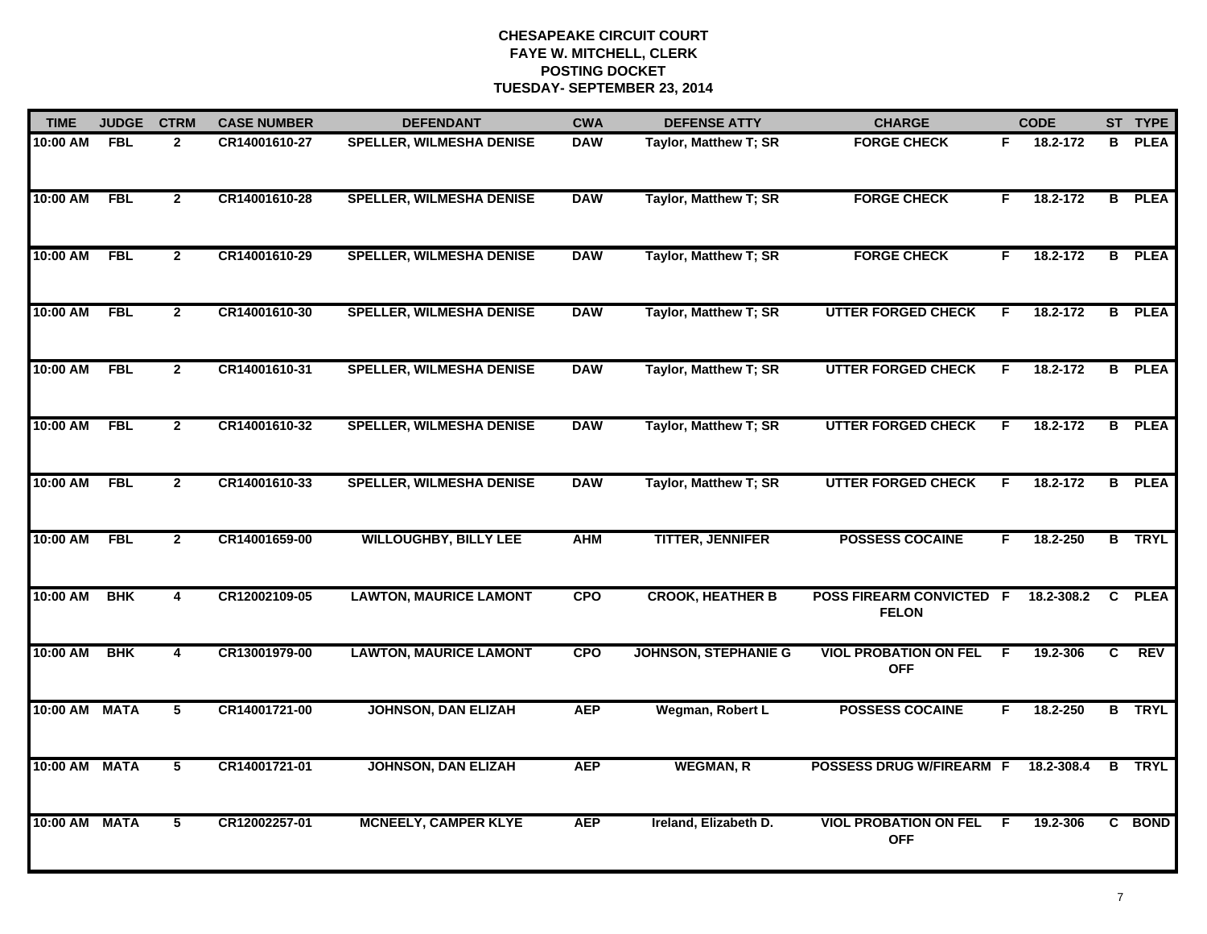| <b>TIME</b>   | <b>JUDGE</b> | <b>CTRM</b>    | <b>CASE NUMBER</b> | <b>DEFENDANT</b>                | <b>CWA</b> | <b>DEFENSE ATTY</b>         | <b>CHARGE</b>                                   | <b>CODE</b> |              |                | ST TYPE       |
|---------------|--------------|----------------|--------------------|---------------------------------|------------|-----------------------------|-------------------------------------------------|-------------|--------------|----------------|---------------|
| 10:00 AM      | <b>FBL</b>   | $\mathbf{2}$   | CR14001610-27      | SPELLER, WILMESHA DENISE        | <b>DAW</b> | Taylor, Matthew T; SR       | <b>FORGE CHECK</b>                              | F.          | 18.2-172     | В              | <b>PLEA</b>   |
| 10:00 AM      | <b>FBL</b>   | $\overline{2}$ | CR14001610-28      | <b>SPELLER, WILMESHA DENISE</b> | <b>DAW</b> | Taylor, Matthew T; SR       | <b>FORGE CHECK</b>                              | F           | 18.2-172     |                | <b>B</b> PLEA |
| 10:00 AM      | <b>FBL</b>   | $\overline{2}$ | CR14001610-29      | <b>SPELLER, WILMESHA DENISE</b> | <b>DAW</b> | Taylor, Matthew T; SR       | <b>FORGE CHECK</b>                              | F           | 18.2-172     |                | <b>B</b> PLEA |
| 10:00 AM      | <b>FBL</b>   | $\mathbf{2}$   | CR14001610-30      | <b>SPELLER, WILMESHA DENISE</b> | <b>DAW</b> | Taylor, Matthew T; SR       | <b>UTTER FORGED CHECK</b>                       | F.          | 18.2-172     | B              | <b>PLEA</b>   |
| 10:00 AM      | <b>FBL</b>   | $\mathbf{2}$   | CR14001610-31      | <b>SPELLER, WILMESHA DENISE</b> | <b>DAW</b> | Taylor, Matthew T; SR       | <b>UTTER FORGED CHECK</b>                       | F.          | $18.2 - 172$ | B              | <b>PLEA</b>   |
| 10:00 AM      | <b>FBL</b>   | $\overline{2}$ | CR14001610-32      | <b>SPELLER, WILMESHA DENISE</b> | <b>DAW</b> | Taylor, Matthew T; SR       | <b>UTTER FORGED CHECK</b>                       | F           | 18.2-172     |                | <b>B</b> PLEA |
| 10:00 AM      | <b>FBL</b>   | $\overline{2}$ | CR14001610-33      | <b>SPELLER, WILMESHA DENISE</b> | <b>DAW</b> | Taylor, Matthew T; SR       | <b>UTTER FORGED CHECK</b>                       | F.          | 18.2-172     | $\overline{B}$ | <b>PLEA</b>   |
| 10:00 AM      | <b>FBL</b>   | $\overline{2}$ | CR14001659-00      | <b>WILLOUGHBY, BILLY LEE</b>    | <b>AHM</b> | <b>TITTER, JENNIFER</b>     | <b>POSSESS COCAINE</b>                          | F           | 18.2-250     |                | <b>B</b> TRYL |
| 10:00 AM      | <b>BHK</b>   | 4              | CR12002109-05      | <b>LAWTON, MAURICE LAMONT</b>   | <b>CPO</b> | <b>CROOK, HEATHER B</b>     | <b>POSS FIREARM CONVICTED F</b><br><b>FELON</b> |             | 18.2-308.2   | $\mathbf{C}$   | <b>PLEA</b>   |
| 10:00 AM      | <b>BHK</b>   | 4              | CR13001979-00      | <b>LAWTON, MAURICE LAMONT</b>   | <b>CPO</b> | <b>JOHNSON, STEPHANIE G</b> | <b>VIOL PROBATION ON FEL</b><br><b>OFF</b>      | -F          | 19.2-306     | C              | <b>REV</b>    |
| 10:00 AM MATA |              | 5              | CR14001721-00      | <b>JOHNSON, DAN ELIZAH</b>      | <b>AEP</b> | Wegman, Robert L            | <b>POSSESS COCAINE</b>                          | F.          | 18.2-250     |                | <b>B</b> TRYL |
| 10:00 AM MATA |              | 5              | CR14001721-01      | <b>JOHNSON, DAN ELIZAH</b>      | <b>AEP</b> | <b>WEGMAN, R</b>            | <b>POSSESS DRUG W/FIREARM F</b>                 |             | 18.2-308.4   | B              | <b>TRYL</b>   |
| 10:00 AM MATA |              | 5              | CR12002257-01      | <b>MCNEELY, CAMPER KLYE</b>     | <b>AEP</b> | Ireland, Elizabeth D.       | <b>VIOL PROBATION ON FEL</b><br><b>OFF</b>      | E           | 19.2-306     |                | C BOND        |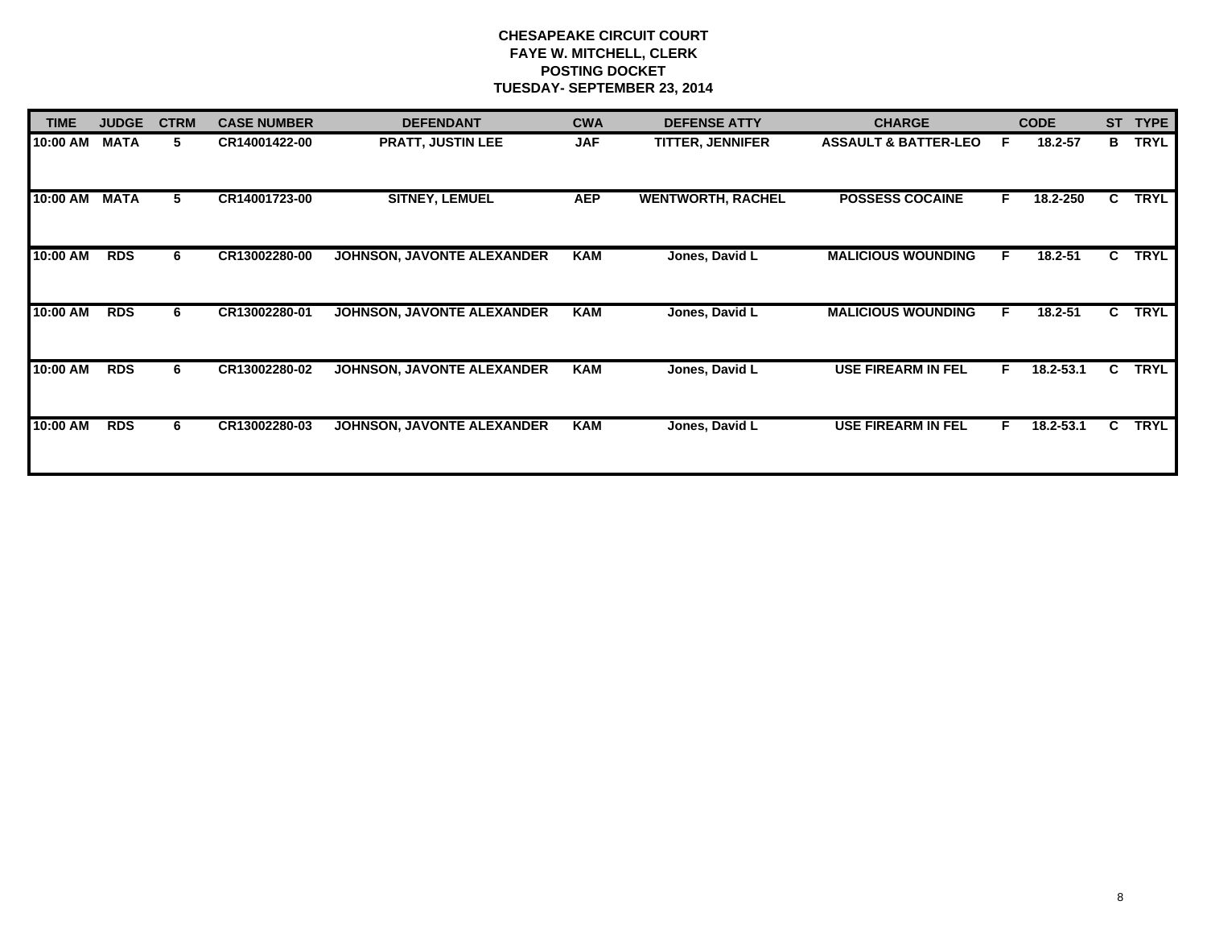| <b>TIME</b> | <b>JUDGE</b> | <b>CTRM</b> | <b>CASE NUMBER</b> | <b>DEFENDANT</b>                  | <b>CWA</b> | <b>DEFENSE ATTY</b>      | <b>CHARGE</b>                   |    | <b>CODE</b> | <b>ST</b> | <b>TYPE</b> |
|-------------|--------------|-------------|--------------------|-----------------------------------|------------|--------------------------|---------------------------------|----|-------------|-----------|-------------|
| 10:00 AM    | <b>MATA</b>  | 5           | CR14001422-00      | <b>PRATT, JUSTIN LEE</b>          | <b>JAF</b> | <b>TITTER, JENNIFER</b>  | <b>ASSAULT &amp; BATTER-LEO</b> | F  | 18.2-57     | В         | <b>TRYL</b> |
| 10:00 AM    | <b>MATA</b>  | 5.          | CR14001723-00      | <b>SITNEY, LEMUEL</b>             | <b>AEP</b> | <b>WENTWORTH, RACHEL</b> | <b>POSSESS COCAINE</b>          | E  | 18.2-250    | C.        | <b>TRYL</b> |
| 10:00 AM    | <b>RDS</b>   | 6           | CR13002280-00      | <b>JOHNSON, JAVONTE ALEXANDER</b> | <b>KAM</b> | Jones, David L           | <b>MALICIOUS WOUNDING</b>       | F. | 18.2-51     | C.        | <b>TRYL</b> |
| 10:00 AM    | <b>RDS</b>   | 6           | CR13002280-01      | <b>JOHNSON, JAVONTE ALEXANDER</b> | <b>KAM</b> | Jones, David L           | <b>MALICIOUS WOUNDING</b>       | E  | 18.2-51     | C.        | <b>TRYL</b> |
| 10:00 AM    | <b>RDS</b>   | 6           | CR13002280-02      | <b>JOHNSON, JAVONTE ALEXANDER</b> | <b>KAM</b> | Jones, David L           | <b>USE FIREARM IN FEL</b>       | E  | 18.2-53.1   | C         | <b>TRYL</b> |
| 10:00 AM    | <b>RDS</b>   | 6           | CR13002280-03      | <b>JOHNSON, JAVONTE ALEXANDER</b> | KAM        | Jones, David L           | <b>USE FIREARM IN FEL</b>       | Е  | 18.2-53.1   | C.        | <b>TRYL</b> |